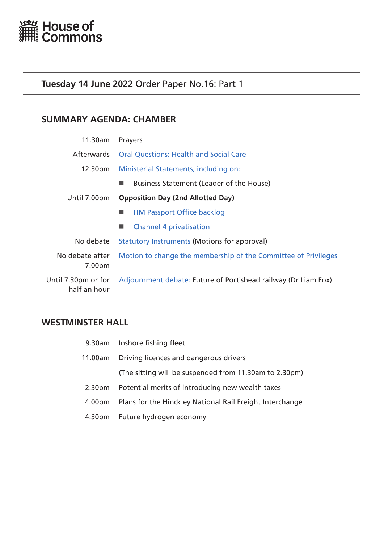<span id="page-0-0"></span>

# **Tuesday 14 June 2022** Order Paper No.16: Part 1

# **SUMMARY AGENDA: CHAMBER**

| 11.30am                             | Prayers                                                        |  |
|-------------------------------------|----------------------------------------------------------------|--|
| <b>Afterwards</b>                   | <b>Oral Questions: Health and Social Care</b>                  |  |
| 12.30pm                             | Ministerial Statements, including on:                          |  |
|                                     | Business Statement (Leader of the House)                       |  |
| Until 7.00pm                        | <b>Opposition Day (2nd Allotted Day)</b>                       |  |
|                                     | <b>HM Passport Office backlog</b>                              |  |
|                                     | <b>Channel 4 privatisation</b>                                 |  |
| No debate                           | <b>Statutory Instruments (Motions for approval)</b>            |  |
| No debate after<br>7.00pm           | Motion to change the membership of the Committee of Privileges |  |
| Until 7.30pm or for<br>half an hour | Adjournment debate: Future of Portishead railway (Dr Liam Fox) |  |

# **WESTMINSTER HALL**

| 9.30am             | Inshore fishing fleet                                    |  |
|--------------------|----------------------------------------------------------|--|
| 11.00am            | Driving licences and dangerous drivers                   |  |
|                    | (The sitting will be suspended from 11.30am to 2.30pm)   |  |
| 2.30 <sub>pm</sub> | Potential merits of introducing new wealth taxes         |  |
| 4.00pm             | Plans for the Hinckley National Rail Freight Interchange |  |
| 4.30pm             | Future hydrogen economy                                  |  |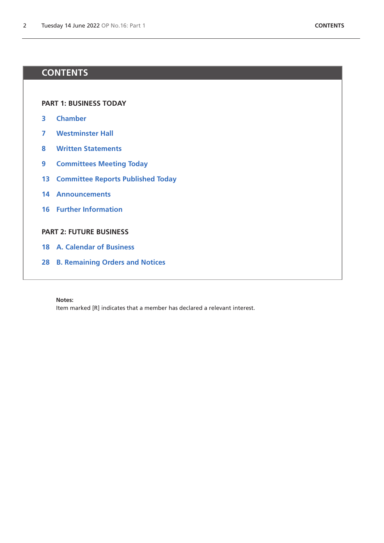# **CONTENTS**

**[PART 1: BUSINESS TODAY](#page-0-0)**

- **[Chamber](#page-2-1)**
- **[Westminster Hall](#page-6-0)**
- **[Written Statements](#page-7-0)**
- **[Committees Meeting Today](#page-8-0)**
- **[Committee Reports Published Today](#page-12-0)**
- **[Announcements](#page-13-0)**
- **[Further Information](#page-15-0)**

## **[PART 2: FUTURE BUSINESS](#page-16-0)**

- **[A. Calendar of Business](#page-17-0)**
- **[B. Remaining Orders and Notices](#page-27-0)**

#### **Notes:**

Item marked [R] indicates that a member has declared a relevant interest.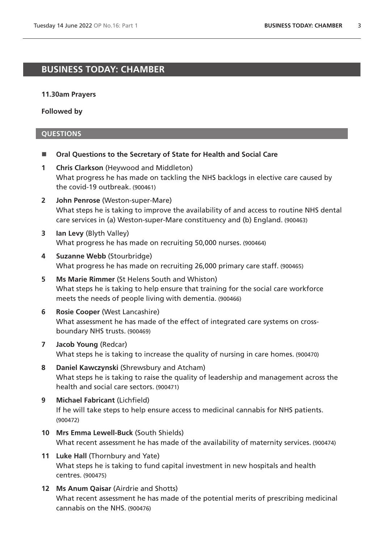# <span id="page-2-1"></span>**BUSINESS TODAY: CHAMBER**

#### **11.30am Prayers**

<span id="page-2-0"></span>**Followed by**

- **Oral Questions to the Secretary of State for Health and Social Care**
- **1 Chris Clarkson** (Heywood and Middleton) What progress he has made on tackling the NHS backlogs in elective care caused by the covid-19 outbreak. (900461)
- **2 John Penrose** (Weston-super-Mare) What steps he is taking to improve the availability of and access to routine NHS dental care services in (a) Weston-super-Mare constituency and (b) England. (900463)
- **3 Ian Levy** (Blyth Valley) What progress he has made on recruiting 50,000 nurses. (900464)
- **4 Suzanne Webb** (Stourbridge) What progress he has made on recruiting 26,000 primary care staff. (900465)
- **5 Ms Marie Rimmer** (St Helens South and Whiston) What steps he is taking to help ensure that training for the social care workforce meets the needs of people living with dementia. (900466)
- **6 Rosie Cooper** (West Lancashire) What assessment he has made of the effect of integrated care systems on crossboundary NHS trusts. (900469)
- **7 Jacob Young** (Redcar) What steps he is taking to increase the quality of nursing in care homes. (900470)
- **8 Daniel Kawczynski** (Shrewsbury and Atcham) What steps he is taking to raise the quality of leadership and management across the health and social care sectors. (900471)
- **9 Michael Fabricant** (Lichfield) If he will take steps to help ensure access to medicinal cannabis for NHS patients. (900472)
- **10 Mrs Emma Lewell-Buck** (South Shields) What recent assessment he has made of the availability of maternity services. (900474)
- **11 Luke Hall** (Thornbury and Yate) What steps he is taking to fund capital investment in new hospitals and health centres. (900475)
- **12 Ms Anum Qaisar** (Airdrie and Shotts) What recent assessment he has made of the potential merits of prescribing medicinal cannabis on the NHS. (900476)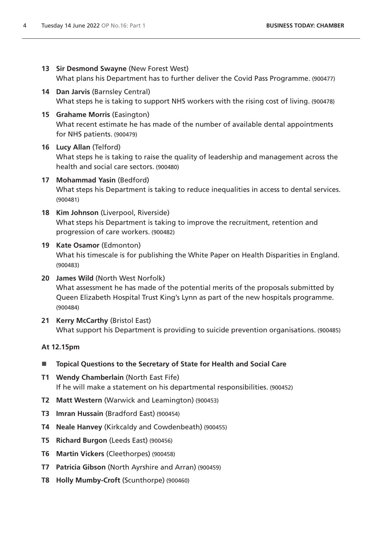- **13 Sir Desmond Swayne** (New Forest West) What plans his Department has to further deliver the Covid Pass Programme. (900477)
- **14 Dan Jarvis** (Barnsley Central) What steps he is taking to support NHS workers with the rising cost of living. (900478)
- **15 Grahame Morris** (Easington) What recent estimate he has made of the number of available dental appointments for NHS patients. (900479)

# **16 Lucy Allan** (Telford)

What steps he is taking to raise the quality of leadership and management across the health and social care sectors. (900480)

- **17 Mohammad Yasin** (Bedford) What steps his Department is taking to reduce inequalities in access to dental services. (900481)
- **18 Kim Johnson** (Liverpool, Riverside) What steps his Department is taking to improve the recruitment, retention and progression of care workers. (900482)

# **19 Kate Osamor** (Edmonton)

What his timescale is for publishing the White Paper on Health Disparities in England. (900483)

- **20 James Wild** (North West Norfolk) What assessment he has made of the potential merits of the proposals submitted by Queen Elizabeth Hospital Trust King's Lynn as part of the new hospitals programme. (900484)
- **21 Kerry McCarthy** (Bristol East) What support his Department is providing to suicide prevention organisations. (900485)

# **At 12.15pm**

- **Topical Questions to the Secretary of State for Health and Social Care**
- **T1 Wendy Chamberlain** (North East Fife) If he will make a statement on his departmental responsibilities. (900452)
- **T2 Matt Western** (Warwick and Leamington) (900453)
- **T3 Imran Hussain** (Bradford East) (900454)
- **T4 Neale Hanvey** (Kirkcaldy and Cowdenbeath) (900455)
- **T5 Richard Burgon** (Leeds East) (900456)
- **T6 Martin Vickers** (Cleethorpes) (900458)
- **T7 Patricia Gibson** (North Ayrshire and Arran) (900459)
- **T8 Holly Mumby-Croft** (Scunthorpe) (900460)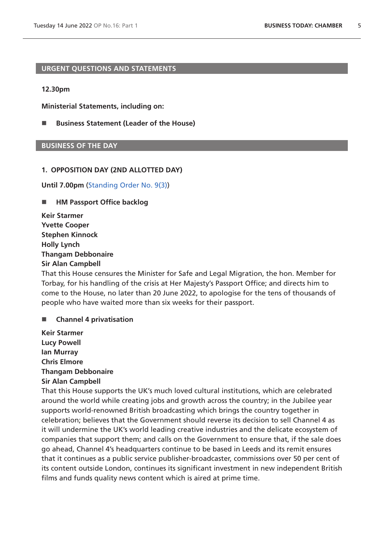### <span id="page-4-0"></span>**URGENT QUESTIONS AND STATEMENTS**

#### **12.30pm**

**[Ministerial Statements](#page-4-0), including on:**

■ [Business Statement \(Leader of the House\)](#page-4-0)

## **BUSINESS OF THE DAY**

#### **1. OPPOSITION DAY (2ND ALLOTTED DAY)**

**Until 7.00pm** [\(Standing Order No. 9\(3\)](https://publications.parliament.uk/pa/cm5802/cmstords/so_804_2021/so-orders.html#so-9_3))

#### <span id="page-4-1"></span>■ HM Passport Office backlog

**Keir Starmer Yvette Cooper Stephen Kinnock Holly Lynch Thangam Debbonaire Sir Alan Campbell**

That this House censures the Minister for Safe and Legal Migration, the hon. Member for Torbay, for his handling of the crisis at Her Majesty's Passport Office; and directs him to come to the House, no later than 20 June 2022, to apologise for the tens of thousands of people who have waited more than six weeks for their passport.

#### <span id="page-4-2"></span>**Channel 4 privatisation**

**Keir Starmer Lucy Powell Ian Murray Chris Elmore Thangam Debbonaire Sir Alan Campbell**

That this House supports the UK's much loved cultural institutions, which are celebrated around the world while creating jobs and growth across the country; in the Jubilee year supports world-renowned British broadcasting which brings the country together in celebration; believes that the Government should reverse its decision to sell Channel 4 as it will undermine the UK's world leading creative industries and the delicate ecosystem of companies that support them; and calls on the Government to ensure that, if the sale does go ahead, Channel 4's headquarters continue to be based in Leeds and its remit ensures that it continues as a public service publisher-broadcaster, commissions over 50 per cent of its content outside London, continues its significant investment in new independent British films and funds quality news content which is aired at prime time.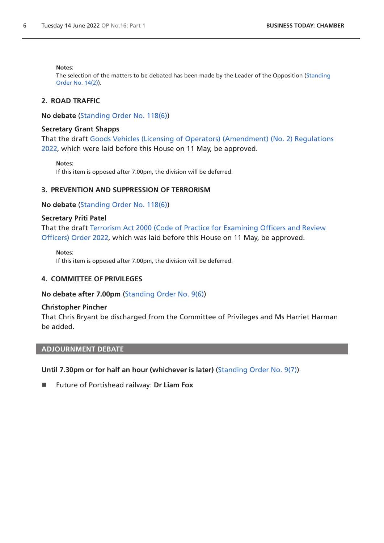#### **Notes:**

<span id="page-5-0"></span>The selection of the matters to be debated has been made by the Leader of the Opposition [\(Standing](https://publications.parliament.uk/pa/cm5802/cmstords/so_804_2021/so-orders.html#so-14_2)  [Order No. 14\(2\)](https://publications.parliament.uk/pa/cm5802/cmstords/so_804_2021/so-orders.html#so-14_2)).

## **2. ROAD TRAFFIC**

**No debate** ([Standing Order No. 118\(6\)](https://publications.parliament.uk/pa/cm5802/cmstords/so_804_2021/so-orders.html#so-118_6))

#### **Secretary Grant Shapps**

That the draft [Goods Vehicles \(Licensing of Operators\) \(Amendment\) \(No. 2\) Regulations](https://www.legislation.gov.uk/ukdsi/2022/9780348235111/pdfs/ukdsi_9780348235111_en.pdf)  [2022,](https://www.legislation.gov.uk/ukdsi/2022/9780348235111/pdfs/ukdsi_9780348235111_en.pdf) which were laid before this House on 11 May, be approved.

**Notes:**

If this item is opposed after 7.00pm, the division will be deferred.

#### **3. PREVENTION AND SUPPRESSION OF TERRORISM**

**No debate** ([Standing Order No. 118\(6\)](https://publications.parliament.uk/pa/cm5802/cmstords/so_804_2021/so-orders.html#so-118_6))

#### **Secretary Priti Patel**

That the draft [Terrorism Act 2000 \(Code of Practice for Examining Officers and Review](https://www.legislation.gov.uk/ukdsi/2022/9780348235142/pdfs/ukdsi_9780348235142_en.pdf)  [Officers\) Order 2022](https://www.legislation.gov.uk/ukdsi/2022/9780348235142/pdfs/ukdsi_9780348235142_en.pdf), which was laid before this House on 11 May, be approved.

**Notes:**

<span id="page-5-1"></span>If this item is opposed after 7.00pm, the division will be deferred.

#### **4. COMMITTEE OF PRIVILEGES**

**No debate after 7.00pm** ([Standing Order No. 9\(6\)](https://publications.parliament.uk/pa/cm5802/cmstords/so_804_2021/so-orders.html#so-9_6))

#### **Christopher Pincher**

That Chris Bryant be discharged from the Committee of Privileges and Ms Harriet Harman be added.

## <span id="page-5-2"></span>**ADJOURNMENT DEBATE**

**Until 7.30pm or for half an hour (whichever is later)** [\(Standing Order No. 9\(7\)](https://publications.parliament.uk/pa/cm5802/cmstords/so_804_2021/so-orders.html#so-9_7))

■ Future of Portishead railway: Dr Liam Fox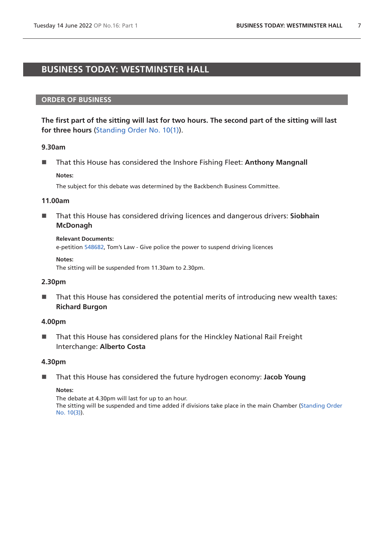# <span id="page-6-0"></span>**BUSINESS TODAY: WESTMINSTER HALL**

## **ORDER OF BUSINESS**

**The first part of the sitting will last for two hours. The second part of the sitting will last for three hours** [\(Standing Order No. 10\(1\)](https://publications.parliament.uk/pa/cm5802/cmstords/so_804_2021/so-orders.html#so-10_1)).

### **9.30am**

**That this House has considered the Inshore Fishing Fleet: Anthony Mangnall Notes:**

The subject for this debate was determined by the Backbench Business Committee.

#### **11.00am**

■ That this House has considered driving licences and dangerous drivers: **Siobhain McDonagh**

#### **Relevant Documents:**

e-petition [548682](https://petition.parliament.uk/petitions/548682), Tom's Law - Give police the power to suspend driving licences

#### **Notes:**

The sitting will be suspended from 11.30am to 2.30pm.

### **2.30pm**

■ That this House has considered the potential merits of introducing new wealth taxes: **Richard Burgon**

### **4.00pm**

■ That this House has considered plans for the Hinckley National Rail Freight Interchange: **Alberto Costa**

### **4.30pm**

■ That this House has considered the future hydrogen economy: Jacob Young

#### **Notes:**

The debate at 4.30pm will last for up to an hour. The sitting will be suspended and time added if divisions take place in the main Chamber [\(Standing Order](https://publications.parliament.uk/pa/cm5802/cmstords/so_804_2021/so-orders.html#so-10_3)  [No. 10\(3\)](https://publications.parliament.uk/pa/cm5802/cmstords/so_804_2021/so-orders.html#so-10_3)).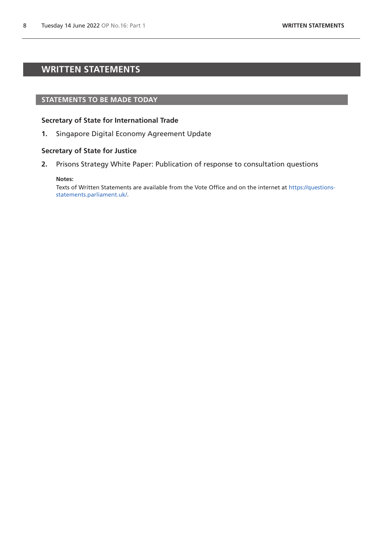# <span id="page-7-0"></span>**WRITTEN STATEMENTS**

#### **STATEMENTS TO BE MADE TODAY**

#### **Secretary of State for International Trade**

**1.** Singapore Digital Economy Agreement Update

#### **Secretary of State for Justice**

**2.** Prisons Strategy White Paper: Publication of response to consultation questions

#### **Notes:**

Texts of Written Statements are available from the Vote Office and on the internet at [https://questions](https://questions-statements.parliament.uk/)[statements.parliament.uk/](https://questions-statements.parliament.uk/).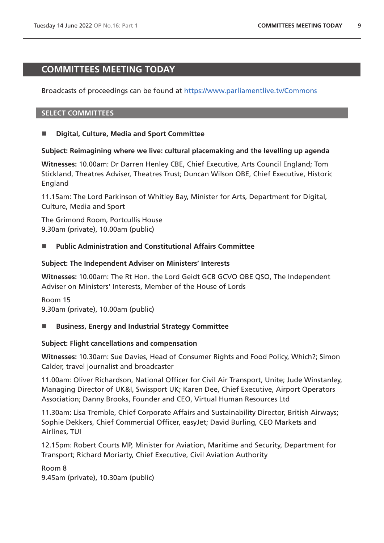# <span id="page-8-0"></span>**COMMITTEES MEETING TODAY**

# Broadcasts of proceedings can be found at <https://www.parliamentlive.tv/Commons>

### **SELECT COMMITTEES**

## **Digital, Culture, Media and Sport Committee**

### **Subject: Reimagining where we live: cultural placemaking and the levelling up agenda**

**Witnesses:** 10.00am: Dr Darren Henley CBE, Chief Executive, Arts Council England; Tom Stickland, Theatres Adviser, Theatres Trust; Duncan Wilson OBE, Chief Executive, Historic England

11.15am: The Lord Parkinson of Whitley Bay, Minister for Arts, Department for Digital, Culture, Media and Sport

The Grimond Room, Portcullis House 9.30am (private), 10.00am (public)

## **Public Administration and Constitutional Affairs Committee**

### **Subject: The Independent Adviser on Ministers' Interests**

**Witnesses:** 10.00am: The Rt Hon. the Lord Geidt GCB GCVO OBE QSO, The Independent Adviser on Ministers' Interests, Member of the House of Lords

Room 15 9.30am (private), 10.00am (public)

### **Business, Energy and Industrial Strategy Committee**

### **Subject: Flight cancellations and compensation**

**Witnesses:** 10.30am: Sue Davies, Head of Consumer Rights and Food Policy, Which?; Simon Calder, travel journalist and broadcaster

11.00am: Oliver Richardson, National Officer for Civil Air Transport, Unite; Jude Winstanley, Managing Director of UK&I, Swissport UK; Karen Dee, Chief Executive, Airport Operators Association; Danny Brooks, Founder and CEO, Virtual Human Resources Ltd

11.30am: Lisa Tremble, Chief Corporate Affairs and Sustainability Director, British Airways; Sophie Dekkers, Chief Commercial Officer, easyJet; David Burling, CEO Markets and Airlines, TUI

12.15pm: Robert Courts MP, Minister for Aviation, Maritime and Security, Department for Transport; Richard Moriarty, Chief Executive, Civil Aviation Authority

Room 8 9.45am (private), 10.30am (public)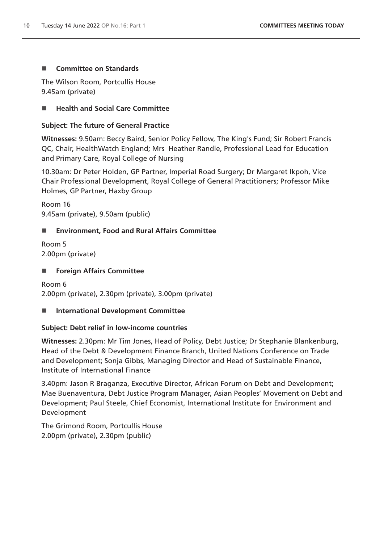## ■ Committee on Standards

The Wilson Room, Portcullis House 9.45am (private)

## ■ Health and Social Care Committee

## **Subject: The future of General Practice**

**Witnesses:** 9.50am: Beccy Baird, Senior Policy Fellow, The King's Fund; Sir Robert Francis QC, Chair, HealthWatch England; Mrs Heather Randle, Professional Lead for Education and Primary Care, Royal College of Nursing

10.30am: Dr Peter Holden, GP Partner, Imperial Road Surgery; Dr Margaret Ikpoh, Vice Chair Professional Development, Royal College of General Practitioners; Professor Mike Holmes, GP Partner, Haxby Group

Room 16 9.45am (private), 9.50am (public)

## **Environment, Food and Rural Affairs Committee**

Room 5 2.00pm (private)

## ■ Foreign Affairs Committee

Room 6 2.00pm (private), 2.30pm (private), 3.00pm (private)

### **International Development Committee**

## **Subject: Debt relief in low-income countries**

**Witnesses:** 2.30pm: Mr Tim Jones, Head of Policy, Debt Justice; Dr Stephanie Blankenburg, Head of the Debt & Development Finance Branch, United Nations Conference on Trade and Development; Sonja Gibbs, Managing Director and Head of Sustainable Finance, Institute of International Finance

3.40pm: Jason R Braganza, Executive Director, African Forum on Debt and Development; Mae Buenaventura, Debt Justice Program Manager, Asian Peoples' Movement on Debt and Development; Paul Steele, Chief Economist, International Institute for Environment and Development

The Grimond Room, Portcullis House 2.00pm (private), 2.30pm (public)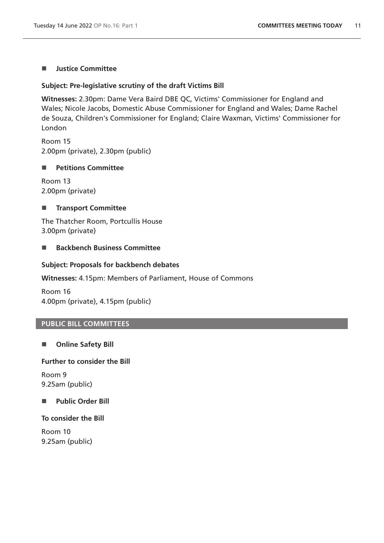## **I** Justice Committee

## **Subject: Pre-legislative scrutiny of the draft Victims Bill**

**Witnesses:** 2.30pm: Dame Vera Baird DBE QC, Victims' Commissioner for England and Wales; Nicole Jacobs, Domestic Abuse Commissioner for England and Wales; Dame Rachel de Souza, Children's Commissioner for England; Claire Waxman, Victims' Commissioner for London

Room 15 2.00pm (private), 2.30pm (public)

## **Petitions Committee**

Room 13 2.00pm (private)

# **Transport Committee**

The Thatcher Room, Portcullis House 3.00pm (private)

## ■ Backbench Business Committee

## **Subject: Proposals for backbench debates**

### **Witnesses:** 4.15pm: Members of Parliament, House of Commons

Room 16 4.00pm (private), 4.15pm (public)

## **PUBLIC BILL COMMITTEES**

# **Online Safety Bill**

### **Further to consider the Bill**

Room 9 9.25am (public)

# **Public Order Bill**

### **To consider the Bill**

Room 10 9.25am (public)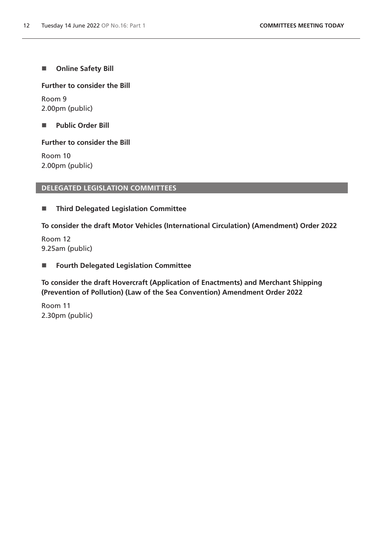**No. 3** Online Safety Bill

## **Further to consider the Bill**

Room 9 2.00pm (public)

**Public Order Bill** 

# **Further to consider the Bill**

Room 10 2.00pm (public)

# **DELEGATED LEGISLATION COMMITTEES**

**Third Delegated Legislation Committee**

**To consider the draft Motor Vehicles (International Circulation) (Amendment) Order 2022**

Room 12 9.25am (public)

# **Fourth Delegated Legislation Committee**

**To consider the draft Hovercraft (Application of Enactments) and Merchant Shipping (Prevention of Pollution) (Law of the Sea Convention) Amendment Order 2022**

Room 11 2.30pm (public)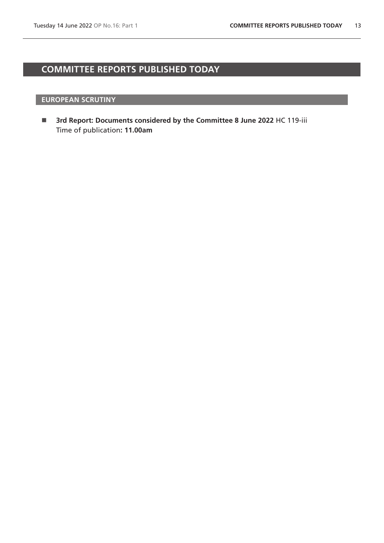# <span id="page-12-0"></span>**COMMITTEE REPORTS PUBLISHED TODAY**

## **EUROPEAN SCRUTINY**

 **3rd Report: Documents considered by the Committee 8 June 2022** HC 119-iii Time of publication**: 11.00am**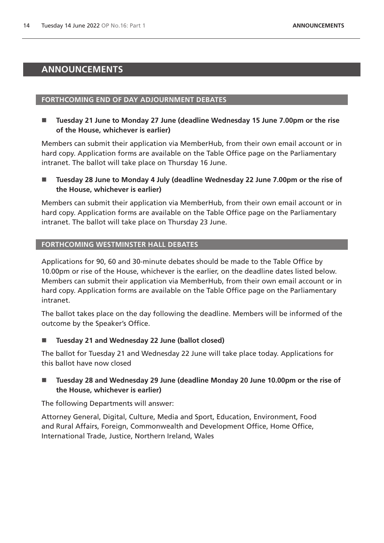# <span id="page-13-0"></span>**ANNOUNCEMENTS**

## **FORTHCOMING END OF DAY ADJOURNMENT DEBATES**

■ Tuesday 21 June to Monday 27 June (deadline Wednesday 15 June 7.00pm or the rise **of the House, whichever is earlier)**

Members can submit their application via MemberHub, from their own email account or in hard copy. Application forms are available on the Table Office page on the Parliamentary intranet. The ballot will take place on Thursday 16 June.

■ Tuesday 28 June to Monday 4 July (deadline Wednesday 22 June 7.00pm or the rise of **the House, whichever is earlier)**

Members can submit their application via MemberHub, from their own email account or in hard copy. Application forms are available on the Table Office page on the Parliamentary intranet. The ballot will take place on Thursday 23 June.

# **FORTHCOMING WESTMINSTER HALL DEBATES**

Applications for 90, 60 and 30-minute debates should be made to the Table Office by 10.00pm or rise of the House, whichever is the earlier, on the deadline dates listed below. Members can submit their application via MemberHub, from their own email account or in hard copy. Application forms are available on the Table Office page on the Parliamentary intranet.

The ballot takes place on the day following the deadline. Members will be informed of the outcome by the Speaker's Office.

**Tuesday 21 and Wednesday 22 June (ballot closed)**

The ballot for Tuesday 21 and Wednesday 22 June will take place today. Applications for this ballot have now closed

■ Tuesday 28 and Wednesday 29 June (deadline Monday 20 June 10.00pm or the rise of **the House, whichever is earlier)**

The following Departments will answer:

Attorney General, Digital, Culture, Media and Sport, Education, Environment, Food and Rural Affairs, Foreign, Commonwealth and Development Office, Home Office, International Trade, Justice, Northern Ireland, Wales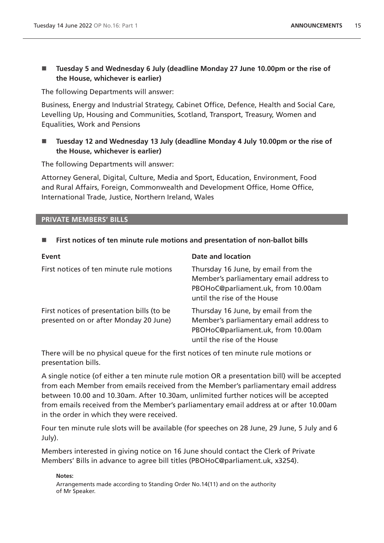# ■ Tuesday 5 and Wednesday 6 July (deadline Monday 27 June 10.00pm or the rise of **the House, whichever is earlier)**

The following Departments will answer:

Business, Energy and Industrial Strategy, Cabinet Office, Defence, Health and Social Care, Levelling Up, Housing and Communities, Scotland, Transport, Treasury, Women and Equalities, Work and Pensions

# **Tuesday 12 and Wednesday 13 July (deadline Monday 4 July 10.00pm or the rise of the House, whichever is earlier)**

The following Departments will answer:

Attorney General, Digital, Culture, Media and Sport, Education, Environment, Food and Rural Affairs, Foreign, Commonwealth and Development Office, Home Office, International Trade, Justice, Northern Ireland, Wales

## **PRIVATE MEMBERS' BILLS**

# **First notices of ten minute rule motions and presentation of non-ballot bills**

| <b>Event</b>                                                                        | <b>Date and location</b>                                                                                                                            |
|-------------------------------------------------------------------------------------|-----------------------------------------------------------------------------------------------------------------------------------------------------|
| First notices of ten minute rule motions                                            | Thursday 16 June, by email from the<br>Member's parliamentary email address to<br>PBOHoC@parliament.uk, from 10.00am<br>until the rise of the House |
| First notices of presentation bills (to be<br>presented on or after Monday 20 June) | Thursday 16 June, by email from the<br>Member's parliamentary email address to<br>PBOHoC@parliament.uk, from 10.00am<br>until the rise of the House |

There will be no physical queue for the first notices of ten minute rule motions or presentation bills.

A single notice (of either a ten minute rule motion OR a presentation bill) will be accepted from each Member from emails received from the Member's parliamentary email address between 10.00 and 10.30am. After 10.30am, unlimited further notices will be accepted from emails received from the Member's parliamentary email address at or after 10.00am in the order in which they were received.

Four ten minute rule slots will be available (for speeches on 28 June, 29 June, 5 July and 6 July).

Members interested in giving notice on 16 June should contact the Clerk of Private Members' Bills in advance to agree bill titles (PBOHoC@parliament.uk, x3254).

**Notes:**

Arrangements made according to Standing Order No.14(11) and on the authority of Mr Speaker.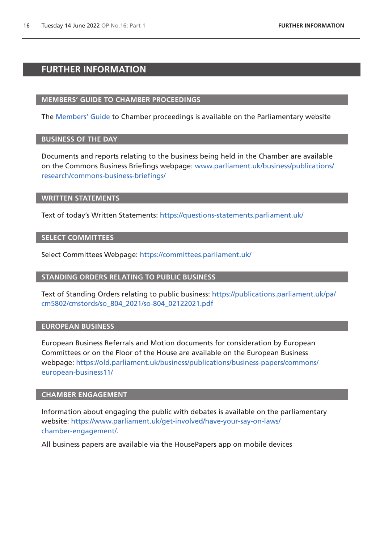# <span id="page-15-0"></span>**FURTHER INFORMATION**

### **MEMBERS' GUIDE TO CHAMBER PROCEEDINGS**

The [Members' Guide](https://guidetoprocedure.parliament.uk/mps-guide-to-procedure) to Chamber proceedings is available on the Parliamentary website

## **BUSINESS OF THE DAY**

Documents and reports relating to the business being held in the Chamber are available on the Commons Business Briefings webpage: [www.parliament.uk/business/publications/](http://www.parliament.uk/business/publications/research/commons-business-briefings/) [research/commons-business-briefings/](http://www.parliament.uk/business/publications/research/commons-business-briefings/)

#### **WRITTEN STATEMENTS**

Text of today's Written Statements:<https://questions-statements.parliament.uk/>

### **SELECT COMMITTEES**

Select Committees Webpage: <https://committees.parliament.uk/>

### **STANDING ORDERS RELATING TO PUBLIC BUSINESS**

Text of Standing Orders relating to public business: [https://publications.parliament.uk/pa/](https://publications.parliament.uk/pa/cm5802/cmstords/so_804_2021/so-804_02122021.pdf) [cm5802/cmstords/so\\_804\\_2021/so-804\\_02122021.pdf](https://publications.parliament.uk/pa/cm5802/cmstords/so_804_2021/so-804_02122021.pdf)

### **EUROPEAN BUSINESS**

European Business Referrals and Motion documents for consideration by European Committees or on the Floor of the House are available on the European Business webpage: [https://old.parliament.uk/business/publications/business-papers/commons/](https://old.parliament.uk/business/publications/business-papers/commons/european-business11/) [european-business11/](https://old.parliament.uk/business/publications/business-papers/commons/european-business11/)

## **CHAMBER ENGAGEMENT**

Information about engaging the public with debates is available on the parliamentary website: [https://www.parliament.uk/get-involved/have-your-say-on-laws/](https://www.parliament.uk/get-involved/have-your-say-on-laws/chamber-engagement/) [chamber-engagement/.](https://www.parliament.uk/get-involved/have-your-say-on-laws/chamber-engagement/)

All business papers are available via the HousePapers app on mobile devices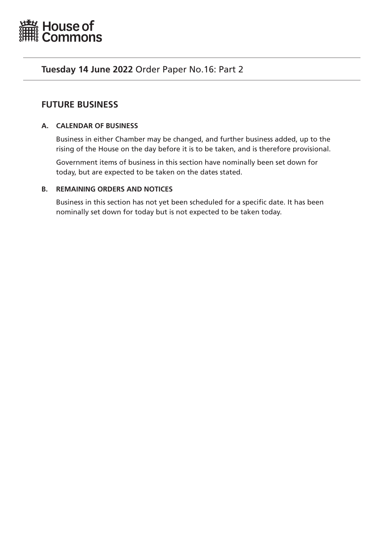<span id="page-16-0"></span>

# **Tuesday 14 June 2022** Order Paper No.16: Part 2

# **FUTURE BUSINESS**

# **A. CALENDAR OF BUSINESS**

Business in either Chamber may be changed, and further business added, up to the rising of the House on the day before it is to be taken, and is therefore provisional.

Government items of business in this section have nominally been set down for today, but are expected to be taken on the dates stated.

# **B. REMAINING ORDERS AND NOTICES**

Business in this section has not yet been scheduled for a specific date. It has been nominally set down for today but is not expected to be taken today.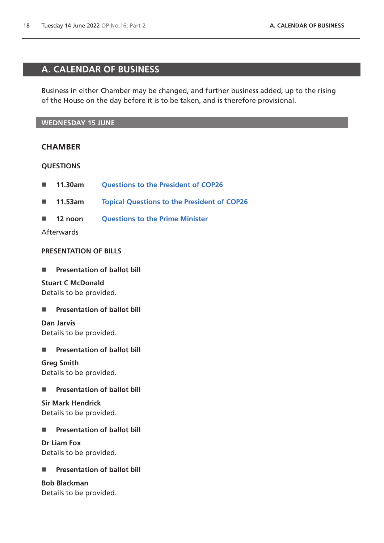# <span id="page-17-0"></span>**A. CALENDAR OF BUSINESS**

Business in either Chamber may be changed, and further business added, up to the rising of the House on the day before it is to be taken, and is therefore provisional.

## **WEDNESDAY 15 JUNE**

# **CHAMBER**

### **QUESTIONS**

- 11.30am **[Questions to the President of COP26](https://commonsbusiness.parliament.uk/document/57389/html#anchor-1)**
- **11.53am [Topical Questions to the President of COP26](https://commonsbusiness.parliament.uk/document/57389/html#anchor-2)**
- **12 noon [Questions to the Prime Minister](https://commonsbusiness.parliament.uk/document/57389/html#anchor-3)**

Afterwards

# **PRESENTATION OF BILLS**

**Presentation of ballot bill** 

**Stuart C McDonald** Details to be provided.

**Presentation of ballot bill** 

**Dan Jarvis** Details to be provided.

**Presentation of ballot bill** 

**Greg Smith** Details to be provided.

**Presentation of ballot bill** 

**Sir Mark Hendrick** Details to be provided.

**Presentation of ballot bill** 

**Dr Liam Fox** Details to be provided.

# **Presentation of ballot bill**

# **Bob Blackman**

Details to be provided.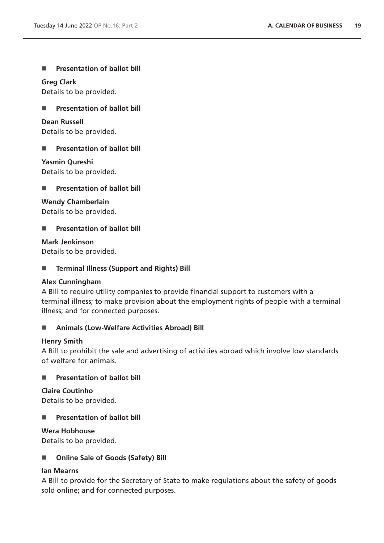**Presentation of ballot bill** 

**Greg Clark** Details to be provided.

**Presentation of ballot bill** 

**Dean Russell** Details to be provided.

**Presentation of ballot bill** 

**Yasmin Qureshi** Details to be provided.

**Presentation of ballot bill** 

**Wendy Chamberlain**

Details to be provided.

**Presentation of ballot bill** 

**Mark Jenkinson** Details to be provided.

**Terminal Illness (Support and Rights) Bill**

# **Alex Cunningham**

A Bill to require utility companies to provide financial support to customers with a terminal illness; to make provision about the employment rights of people with a terminal illness; and for connected purposes.

# **Animals (Low-Welfare Activities Abroad) Bill**

# **Henry Smith**

A Bill to prohibit the sale and advertising of activities abroad which involve low standards of welfare for animals.

# **Presentation of ballot bill**

**Claire Coutinho**

Details to be provided.

**Presentation of ballot bill** 

**Wera Hobhouse**

Details to be provided.

# ■ Online Sale of Goods (Safety) Bill

# **Ian Mearns**

A Bill to provide for the Secretary of State to make regulations about the safety of goods sold online; and for connected purposes.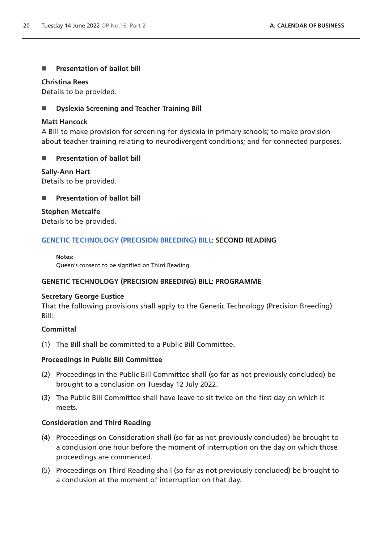# **Presentation of ballot bill**

## **Christina Rees**

Details to be provided.

# **Dyslexia Screening and Teacher Training Bill**

## **Matt Hancock**

A Bill to make provision for screening for dyslexia in primary schools; to make provision about teacher training relating to neurodivergent conditions; and for connected purposes.

# **Presentation of ballot bill**

**Sally-Ann Hart** Details to be provided.

# **Presentation of ballot bill**

**Stephen Metcalfe** Details to be provided.

# **[GENETIC TECHNOLOGY \(PRECISION BREEDING\) BILL](https://publications.parliament.uk/pa/bills/cbill/58-03/0011/220011.pdf): SECOND READING**

#### **Notes:**

Queen's consent to be signified on Third Reading

# **GENETIC TECHNOLOGY (PRECISION BREEDING) BILL: PROGRAMME**

## **Secretary George Eustice**

That the following provisions shall apply to the Genetic Technology (Precision Breeding) Bill:

### **Committal**

(1) The Bill shall be committed to a Public Bill Committee.

## **Proceedings in Public Bill Committee**

- (2) Proceedings in the Public Bill Committee shall (so far as not previously concluded) be brought to a conclusion on Tuesday 12 July 2022.
- (3) The Public Bill Committee shall have leave to sit twice on the first day on which it meets.

# **Consideration and Third Reading**

- (4) Proceedings on Consideration shall (so far as not previously concluded) be brought to a conclusion one hour before the moment of interruption on the day on which those proceedings are commenced.
- (5) Proceedings on Third Reading shall (so far as not previously concluded) be brought to a conclusion at the moment of interruption on that day.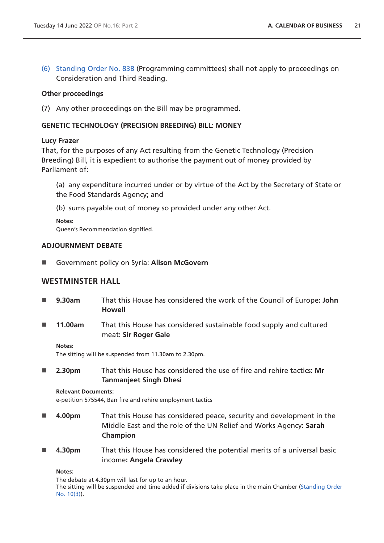(6) [Standing Order No. 83B](https://publications.parliament.uk/pa/cm5802/cmstords/so_804_2021/so-orders.html#so-83B) (Programming committees) shall not apply to proceedings on Consideration and Third Reading.

## **Other proceedings**

(7) Any other proceedings on the Bill may be programmed.

## **GENETIC TECHNOLOGY (PRECISION BREEDING) BILL: MONEY**

### **Lucy Frazer**

That, for the purposes of any Act resulting from the Genetic Technology (Precision Breeding) Bill, it is expedient to authorise the payment out of money provided by Parliament of:

(a) any expenditure incurred under or by virtue of the Act by the Secretary of State or the Food Standards Agency; and

(b) sums payable out of money so provided under any other Act.

**Notes:**

Queen's Recommendation signified.

## **ADJOURNMENT DEBATE**

Government policy on Syria: **Alison McGovern**

# **WESTMINSTER HALL**

- **9.30am** That this House has considered the work of the Council of Europe**: John Howell**
- **11.00am** That this House has considered sustainable food supply and cultured meat**: Sir Roger Gale**

#### **Notes:**

The sitting will be suspended from 11.30am to 2.30pm.

 **2.30pm** That this House has considered the use of fire and rehire tactics**: Mr Tanmanjeet Singh Dhesi**

#### **Relevant Documents:**

e-petition 575544, Ban fire and rehire employment tactics

- **4.00pm** That this House has considered peace, security and development in the Middle East and the role of the UN Relief and Works Agency**: Sarah Champion**
- **4.30pm** That this House has considered the potential merits of a universal basic income**: Angela Crawley**

**Notes:**

The debate at 4.30pm will last for up to an hour.

The sitting will be suspended and time added if divisions take place in the main Chamber [\(Standing Order](https://publications.parliament.uk/pa/cm5802/cmstords/so_804_2021/so-orders.html#so-10_3)  [No. 10\(3\)](https://publications.parliament.uk/pa/cm5802/cmstords/so_804_2021/so-orders.html#so-10_3)).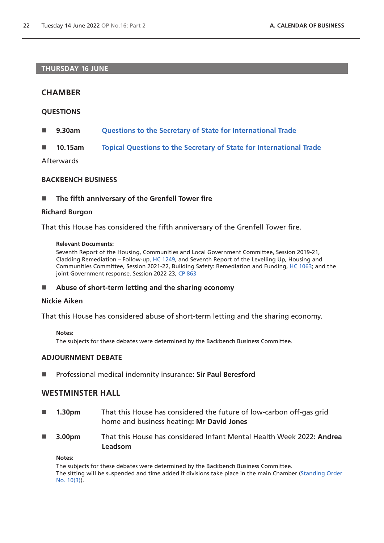## **THURSDAY 16 JUNE**

# **CHAMBER**

## **QUESTIONS**

- **9.30am [Questions to the Secretary of State for International Trade](https://commonsbusiness.parliament.uk/document/57389/html#anchor-5)**
- **10.15am [Topical Questions to the Secretary of State for International Trade](https://commonsbusiness.parliament.uk/document/57389/html#anchor-6)**

Afterwards

#### **BACKBENCH BUSINESS**

■ The fifth anniversary of the Grenfell Tower fire

### **Richard Burgon**

That this House has considered the fifth anniversary of the Grenfell Tower fire.

#### **Relevant Documents:**

Seventh Report of the Housing, Communities and Local Government Committee, Session 2019-21, Cladding Remediation – Follow-up, [HC 1249,](https://committees.parliament.uk/publications/5702/documents/56234/default/) and Seventh Report of the Levelling Up, Housing and Communities Committee, Session 2021-22, Building Safety: Remediation and Funding, [HC 1063;](https://committees.parliament.uk/publications/9244/documents/159998/default/) and the joint Government response, Session 2022-23, [CP 863](https://www.gov.uk/government/publications/building-safety-remediation-and-funding-government-response-to-the-select-committee-reports/building-safety-remediation-and-funding-government-response-to-the-select-committee-reports)

#### **Abuse of short-term letting and the sharing economy**

#### **Nickie Aiken**

That this House has considered abuse of short-term letting and the sharing economy.

#### **Notes:**

The subjects for these debates were determined by the Backbench Business Committee.

### **ADJOURNMENT DEBATE**

Professional medical indemnity insurance: **Sir Paul Beresford**

# **WESTMINSTER HALL**

- **1.30pm** That this House has considered the future of low-carbon off-gas grid home and business heating**: Mr David Jones**
- **3.00pm** That this House has considered Infant Mental Health Week 2022**: Andrea Leadsom**

#### **Notes:**

The subjects for these debates were determined by the Backbench Business Committee. The sitting will be suspended and time added if divisions take place in the main Chamber [\(Standing Order](https://publications.parliament.uk/pa/cm5802/cmstords/so_804_2021/so-orders.html#so-10_3)  [No. 10\(3\)](https://publications.parliament.uk/pa/cm5802/cmstords/so_804_2021/so-orders.html#so-10_3)).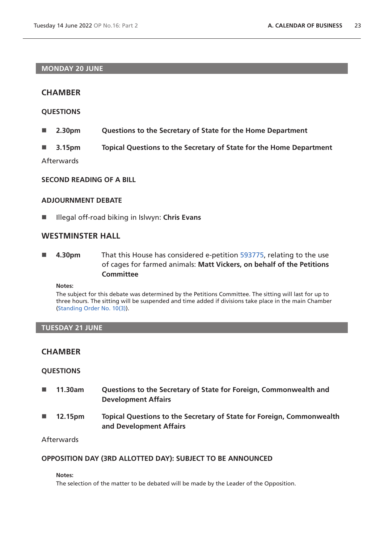## **MONDAY 20 JUNE**

# **CHAMBER**

## **QUESTIONS**

- **2.30pm Questions to the Secretary of State for the Home Department**
- **3.15pm Topical Questions to the Secretary of State for the Home Department**

Afterwards

## **SECOND READING OF A BILL**

#### **ADJOURNMENT DEBATE**

■ Illegal off-road biking in Islwyn: **Chris Evans** 

# **WESTMINSTER HALL**

 **4.30pm** That this House has considered e-petition [593775](https://petition.parliament.uk/petitions/593775), relating to the use of cages for farmed animals: **Matt Vickers, on behalf of the Petitions Committee**

**Notes:**

The subject for this debate was determined by the Petitions Committee. The sitting will last for up to three hours. The sitting will be suspended and time added if divisions take place in the main Chamber [\(Standing Order No. 10\(3\)](https://publications.parliament.uk/pa/cm5802/cmstords/so_804_2021/so-orders.html#so-10_3)).

### **TUESDAY 21 JUNE**

# **CHAMBER**

### **QUESTIONS**

- **11.30am Questions to the Secretary of State for Foreign, Commonwealth and Development Affairs**
- **12.15pm Topical Questions to the Secretary of State for Foreign, Commonwealth and Development Affairs**

## **Afterwards**

### **OPPOSITION DAY (3RD ALLOTTED DAY): SUBJECT TO BE ANNOUNCED**

#### **Notes:**

The selection of the matter to be debated will be made by the Leader of the Opposition.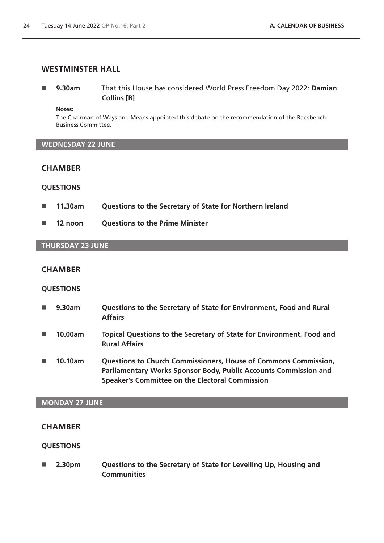## **WESTMINSTER HALL**

 **9.30am** That this House has considered World Press Freedom Day 2022: **Damian Collins [R]**

**Notes:**

The Chairman of Ways and Means appointed this debate on the recommendation of the Backbench Business Committee.

## **WEDNESDAY 22 JUNE**

## **CHAMBER**

## **QUESTIONS**

- **11.30am Questions to the Secretary of State for Northern Ireland**
- **12 noon Questions to the Prime Minister**

## **THURSDAY 23 JUNE**

#### **CHAMBER**

### **QUESTIONS**

 **9.30am Questions to the Secretary of State for Environment, Food and Rural Affairs 10.00am Topical Questions to the Secretary of State for Environment, Food and Rural Affairs** ■ 10.10am Questions to Church Commissioners, House of Commons Commission, **Parliamentary Works Sponsor Body, Public Accounts Commission and** 

**Speaker's Committee on the Electoral Commission**

## **MONDAY 27 JUNE**

### **CHAMBER**

## **QUESTIONS**

 **2.30pm Questions to the Secretary of State for Levelling Up, Housing and Communities**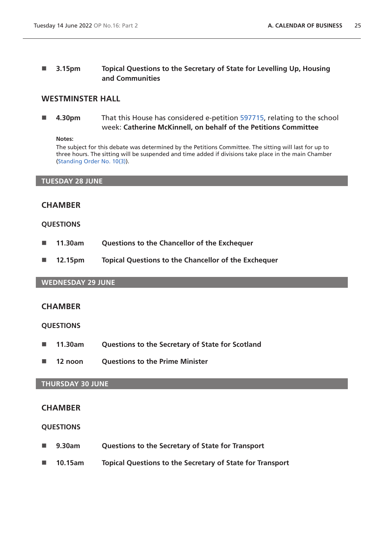# **3.15pm Topical Questions to the Secretary of State for Levelling Up, Housing and Communities**

# **WESTMINSTER HALL**

 **4.30pm** That this House has considered e-petition [597715](https://petition.parliament.uk/petitions/597715), relating to the school week: **Catherine McKinnell, on behalf of the Petitions Committee**

#### **Notes:**

The subject for this debate was determined by the Petitions Committee. The sitting will last for up to three hours. The sitting will be suspended and time added if divisions take place in the main Chamber [\(Standing Order No. 10\(3\)](https://publications.parliament.uk/pa/cm5802/cmstords/so_804_2021/so-orders.html#so-10_3)).

#### **TUESDAY 28 JUNE**

# **CHAMBER**

### **QUESTIONS**

- **11.30am Questions to the Chancellor of the Exchequer**
- **12.15pm Topical Questions to the Chancellor of the Exchequer**

## **WEDNESDAY 29 JUNE**

# **CHAMBER**

### **QUESTIONS**

- **11.30am Questions to the Secretary of State for Scotland**
- **12 noon Questions to the Prime Minister**

### **THURSDAY 30 JUNE**

## **CHAMBER**

- **9.30am Questions to the Secretary of State for Transport**
- **10.15am Topical Questions to the Secretary of State for Transport**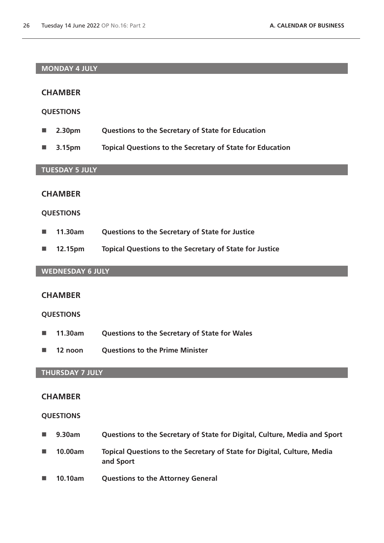## **MONDAY 4 JULY**

## **CHAMBER**

### **QUESTIONS**

- **2.30pm Questions to the Secretary of State for Education**
- **3.15pm Topical Questions to the Secretary of State for Education**

#### **TUESDAY 5 JULY**

## **CHAMBER**

#### **QUESTIONS**

- **11.30am Questions to the Secretary of State for Justice**
- **12.15pm Topical Questions to the Secretary of State for Justice**

# **WEDNESDAY 6 JULY**

## **CHAMBER**

## **QUESTIONS**

- **11.30am Questions to the Secretary of State for Wales**
- **12 noon Questions to the Prime Minister**

# **THURSDAY 7 JULY**

#### **CHAMBER**

- **9.30am Questions to the Secretary of State for Digital, Culture, Media and Sport**
- **10.00am Topical Questions to the Secretary of State for Digital, Culture, Media and Sport**
- **10.10am Questions to the Attorney General**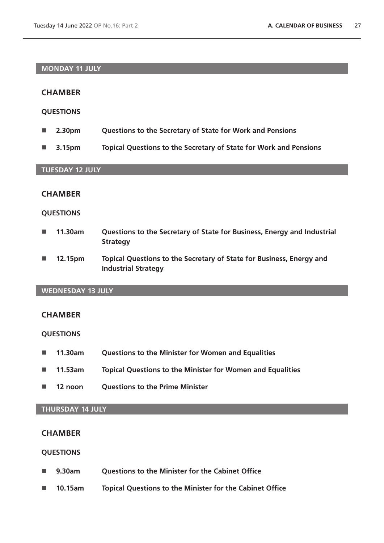## **MONDAY 11 JULY**

# **CHAMBER**

## **QUESTIONS**

- **2.30pm Questions to the Secretary of State for Work and Pensions**
- **3.15pm Topical Questions to the Secretary of State for Work and Pensions**

# **TUESDAY 12 JULY**

# **CHAMBER**

### **QUESTIONS**

- **11.30am Questions to the Secretary of State for Business, Energy and Industrial Strategy**
- **12.15pm Topical Questions to the Secretary of State for Business, Energy and Industrial Strategy**

## **WEDNESDAY 13 JULY**

# **CHAMBER**

## **QUESTIONS**

- **11.30am Questions to the Minister for Women and Equalities**
- **11.53am Topical Questions to the Minister for Women and Equalities**
- **12 noon Questions to the Prime Minister**

## **THURSDAY 14 JULY**

## **CHAMBER**

- 9.30am **Ouestions to the Minister for the Cabinet Office**
- **10.15am Topical Questions to the Minister for the Cabinet Office**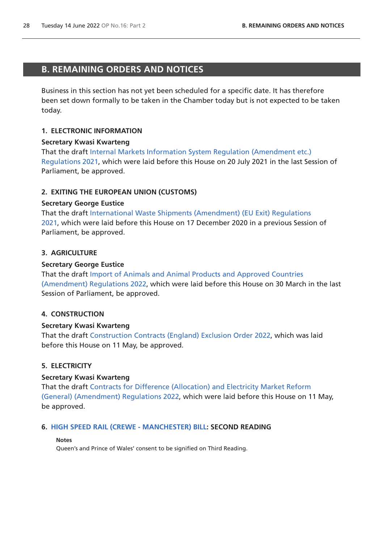# <span id="page-27-0"></span>**B. REMAINING ORDERS AND NOTICES**

Business in this section has not yet been scheduled for a specific date. It has therefore been set down formally to be taken in the Chamber today but is not expected to be taken today.

## **1. ELECTRONIC INFORMATION**

### **Secretary Kwasi Kwarteng**

That the draft [Internal Markets Information System Regulation \(Amendment etc.\)](https://www.legislation.gov.uk/ukdsi/2021/9780348226126/pdfs/ukdsi_9780348226126_en.pdf)  [Regulations 2021](https://www.legislation.gov.uk/ukdsi/2021/9780348226126/pdfs/ukdsi_9780348226126_en.pdf), which were laid before this House on 20 July 2021 in the last Session of Parliament, be approved.

### **2. EXITING THE EUROPEAN UNION (CUSTOMS)**

### **Secretary George Eustice**

That the draft [International Waste Shipments \(Amendment\) \(EU Exit\) Regulations](https://www.legislation.gov.uk/ukdsi/2021/9780348217650/pdfs/ukdsi_9780348217650_en.pdf)  [2021,](https://www.legislation.gov.uk/ukdsi/2021/9780348217650/pdfs/ukdsi_9780348217650_en.pdf) which were laid before this House on 17 December 2020 in a previous Session of Parliament, be approved.

### **3. AGRICULTURE**

### **Secretary George Eustice**

That the draft [Import of Animals and Animal Products and Approved Countries](https://www.legislation.gov.uk/ukdsi/2022/9780348234282/pdfs/ukdsi_9780348234282_en.pdf)  [\(Amendment\) Regulations 2022,](https://www.legislation.gov.uk/ukdsi/2022/9780348234282/pdfs/ukdsi_9780348234282_en.pdf) which were laid before this House on 30 March in the last Session of Parliament, be approved.

## **4. CONSTRUCTION**

### **Secretary Kwasi Kwarteng**

That the draft [Construction Contracts \(England\) Exclusion Order 2022](https://www.legislation.gov.uk/ukdsi/2022/9780348235043/pdfs/ukdsi_9780348235043_en.pdf), which was laid before this House on 11 May, be approved.

### **5. ELECTRICITY**

### **Secretary Kwasi Kwarteng**

That the draft [Contracts for Difference \(Allocation\) and Electricity Market Reform](https://www.legislation.gov.uk/ukdsi/2022/9780348234947/pdfs/ukdsi_9780348234947_en.pdf)  [\(General\) \(Amendment\) Regulations 2022,](https://www.legislation.gov.uk/ukdsi/2022/9780348234947/pdfs/ukdsi_9780348234947_en.pdf) which were laid before this House on 11 May, be approved.

### **6. [HIGH SPEED RAIL \(CREWE - MANCHESTER\) BILL](https://publications.parliament.uk/pa/bills/cbill/58-03/0005/220005.pdf): SECOND READING**

### **Notes**

Queen's and Prince of Wales' consent to be signified on Third Reading.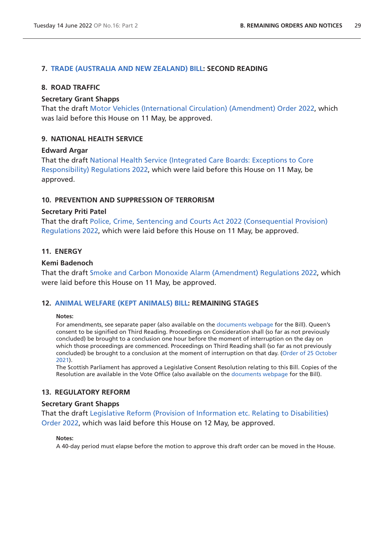### **7. [TRADE \(AUSTRALIA AND NEW ZEALAND\) BILL:](https://publications.parliament.uk/pa/bills/cbill/58-03/0009/220009.pdf) SECOND READING**

#### **8. ROAD TRAFFIC**

#### **Secretary Grant Shapps**

That the draft [Motor Vehicles \(International Circulation\) \(Amendment\) Order 2022,](https://www.legislation.gov.uk/ukdsi/2022/9780348235128/pdfs/ukdsi_9780348235128_en.pdf) which was laid before this House on 11 May, be approved.

### **9. NATIONAL HEALTH SERVICE**

#### **Edward Argar**

That the draft [National Health Service \(Integrated Care Boards: Exceptions to Core](https://www.legislation.gov.uk/ukdsi/2022/9780348235166/pdfs/ukdsi_9780348235166_en.pdf)  [Responsibility\) Regulations 2022](https://www.legislation.gov.uk/ukdsi/2022/9780348235166/pdfs/ukdsi_9780348235166_en.pdf), which were laid before this House on 11 May, be approved.

#### **10. PREVENTION AND SUPPRESSION OF TERRORISM**

#### **Secretary Priti Patel**

That the draft [Police, Crime, Sentencing and Courts Act 2022 \(Consequential Provision\)](https://www.legislation.gov.uk/ukdsi/2022/9780348235012/pdfs/ukdsi_9780348235012_en.pdf)  [Regulations 2022](https://www.legislation.gov.uk/ukdsi/2022/9780348235012/pdfs/ukdsi_9780348235012_en.pdf), which were laid before this House on 11 May, be approved.

## **11. ENERGY**

#### **Kemi Badenoch**

That the draft [Smoke and Carbon Monoxide Alarm \(Amendment\) Regulations 2022,](https://www.legislation.gov.uk/ukdsi/2022/9780348234978/pdfs/ukdsi_9780348234978_en.pdf) which were laid before this House on 11 May, be approved.

#### **12. [ANIMAL WELFARE \(KEPT ANIMALS\) BILL](https://publications.parliament.uk/pa/bills/cbill/58-03/0002/220002.pdf): REMAINING STAGES**

#### **Notes:**

For amendments, see separate paper (also available on the [documents webpage](https://bills.parliament.uk/bills/2880/publications) for the Bill). Queen's consent to be signified on Third Reading. Proceedings on Consideration shall (so far as not previously concluded) be brought to a conclusion one hour before the moment of interruption on the day on which those proceedings are commenced. Proceedings on Third Reading shall (so far as not previously concluded) be brought to a conclusion at the moment of interruption on that day. ([Order of 25 October](https://commonsbusiness.parliament.uk/document/50975/pdf)  [2021](https://commonsbusiness.parliament.uk/document/50975/pdf)).

The Scottish Parliament has approved a Legislative Consent Resolution relating to this Bill. Copies of the Resolution are available in the Vote Office (also available on the [documents webpage](https://bills.parliament.uk/bills/2880/publications) for the Bill).

#### **13. REGULATORY REFORM**

#### **Secretary Grant Shapps**

That the draft [Legislative Reform \(Provision of Information etc. Relating to Disabilities\)](https://www.legislation.gov.uk/ukdsi/2022/9780348235203/pdfs/ukdsi_9780348235203_en.pdf)  [Order 2022,](https://www.legislation.gov.uk/ukdsi/2022/9780348235203/pdfs/ukdsi_9780348235203_en.pdf) which was laid before this House on 12 May, be approved.

#### **Notes:**

A 40-day period must elapse before the motion to approve this draft order can be moved in the House.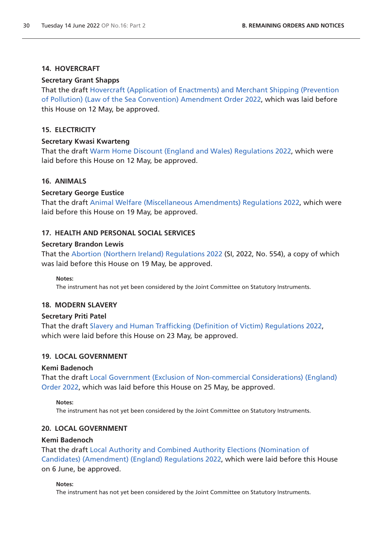## **14. HOVERCRAFT**

## **Secretary Grant Shapps**

That the draft [Hovercraft \(Application of Enactments\) and Merchant Shipping \(Prevention](https://www.legislation.gov.uk/ukdsi/2022/9780348235067/pdfs/ukdsi_9780348235067_en.pdf)  [of Pollution\) \(Law of the Sea Convention\) Amendment Order 2022,](https://www.legislation.gov.uk/ukdsi/2022/9780348235067/pdfs/ukdsi_9780348235067_en.pdf) which was laid before this House on 12 May, be approved.

# **15. ELECTRICITY**

## **Secretary Kwasi Kwarteng**

That the draft [Warm Home Discount \(England and Wales\) Regulations 2022](https://www.legislation.gov.uk/ukdsi/2022/9780348235173/pdfs/ukdsi_9780348235173_en.pdf), which were laid before this House on 12 May, be approved.

# **16. ANIMALS**

## **Secretary George Eustice**

That the draft [Animal Welfare \(Miscellaneous Amendments\) Regulations 2022](https://www.legislation.gov.uk/ukdsi/2022/9780348235340/pdfs/ukdsi_9780348235340_en.pdf), which were laid before this House on 19 May, be approved.

## **17. HEALTH AND PERSONAL SOCIAL SERVICES**

### **Secretary Brandon Lewis**

That the [Abortion \(Northern Ireland\) Regulations 2022](https://www.legislation.gov.uk/uksi/2022/554/pdfs/uksi_20220554_en.pdf) (SI, 2022, No. 554), a copy of which was laid before this House on 19 May, be approved.

**Notes:**

The instrument has not yet been considered by the Joint Committee on Statutory Instruments.

### **18. MODERN SLAVERY**

### **Secretary Priti Patel**

That the draft [Slavery and Human Trafficking \(Definition of Victim\) Regulations 2022](https://www.legislation.gov.uk/ukdsi/2022/9780348235463/pdfs/ukdsi_9780348235463_en.pdf), which were laid before this House on 23 May, be approved.

# **19. LOCAL GOVERNMENT**

### **Kemi Badenoch**

That the draft [Local Government \(Exclusion of Non-commercial Considerations\) \(England\)](https://www.legislation.gov.uk/ukdsi/2022/9780348235500/pdfs/ukdsi_9780348235500_en.pdf)  [Order 2022,](https://www.legislation.gov.uk/ukdsi/2022/9780348235500/pdfs/ukdsi_9780348235500_en.pdf) which was laid before this House on 25 May, be approved.

### **Notes:**

The instrument has not yet been considered by the Joint Committee on Statutory Instruments.

# **20. LOCAL GOVERNMENT**

### **Kemi Badenoch**

That the draft [Local Authority and Combined Authority Elections \(Nomination of](https://www.legislation.gov.uk/ukdsi/2022/9780348235708/pdfs/ukdsi_9780348235708_en.pdf)  [Candidates\) \(Amendment\) \(England\) Regulations 2022](https://www.legislation.gov.uk/ukdsi/2022/9780348235708/pdfs/ukdsi_9780348235708_en.pdf), which were laid before this House on 6 June, be approved.

### **Notes:**

The instrument has not yet been considered by the Joint Committee on Statutory Instruments.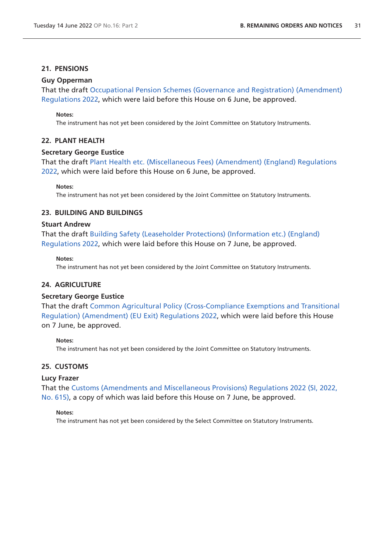## **21. PENSIONS**

## **Guy Opperman**

That the draft [Occupational Pension Schemes \(Governance and Registration\) \(Amendment\)](https://www.legislation.gov.uk/ukdsi/2022/9780348235777/pdfs/ukdsi_9780348235777_en.pdf)  [Regulations 2022](https://www.legislation.gov.uk/ukdsi/2022/9780348235777/pdfs/ukdsi_9780348235777_en.pdf), which were laid before this House on 6 June, be approved.

#### **Notes:**

The instrument has not yet been considered by the Joint Committee on Statutory Instruments.

## **22. PLANT HEALTH**

### **Secretary George Eustice**

That the draft [Plant Health etc. \(Miscellaneous Fees\) \(Amendment\) \(England\) Regulations](https://www.legislation.gov.uk/ukdsi/2022/9780348235821/pdfs/ukdsi_9780348235821_en.pdf)  [2022,](https://www.legislation.gov.uk/ukdsi/2022/9780348235821/pdfs/ukdsi_9780348235821_en.pdf) which were laid before this House on 6 June, be approved.

#### **Notes:**

The instrument has not yet been considered by the Joint Committee on Statutory Instruments.

## **23. BUILDING AND BUILDINGS**

## **Stuart Andrew**

That the draft [Building Safety \(Leaseholder Protections\) \(Information etc.\) \(England\)](https://www.legislation.gov.uk/ukdsi/2022/9780348235791/pdfs/ukdsi_9780348235791_en.pdf)  [Regulations 2022](https://www.legislation.gov.uk/ukdsi/2022/9780348235791/pdfs/ukdsi_9780348235791_en.pdf), which were laid before this House on 7 June, be approved.

#### **Notes:**

The instrument has not yet been considered by the Joint Committee on Statutory Instruments.

# **24. AGRICULTURE**

### **Secretary George Eustice**

That the draft [Common Agricultural Policy \(Cross-Compliance Exemptions and Transitional](https://www.legislation.gov.uk/ukdsi/2022/9780348235951/pdfs/ukdsi_9780348235951_en.pdf)  [Regulation\) \(Amendment\) \(EU Exit\) Regulations 2022](https://www.legislation.gov.uk/ukdsi/2022/9780348235951/pdfs/ukdsi_9780348235951_en.pdf), which were laid before this House on 7 June, be approved.

#### **Notes:**

The instrument has not yet been considered by the Joint Committee on Statutory Instruments.

### **25. CUSTOMS**

### **Lucy Frazer**

That the [Customs \(Amendments and Miscellaneous Provisions\) Regulations 2022 \(SI, 2022,](https://www.legislation.gov.uk/uksi/2022/615/pdfs/uksi_20220615_en.pdf)  [No. 615\)](https://www.legislation.gov.uk/uksi/2022/615/pdfs/uksi_20220615_en.pdf), a copy of which was laid before this House on 7 June, be approved.

#### **Notes:**

The instrument has not yet been considered by the Select Committee on Statutory Instruments.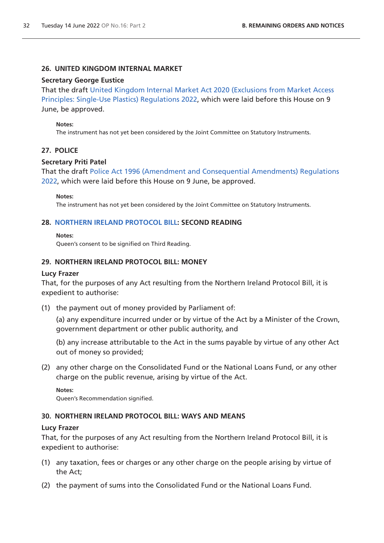### **26. UNITED KINGDOM INTERNAL MARKET**

#### **Secretary George Eustice**

That the draft [United Kingdom Internal Market Act 2020 \(Exclusions from Market Access](https://www.legislation.gov.uk/ukdsi/2022/9780348236101/pdfs/ukdsi_9780348236101_en.pdf)  [Principles: Single-Use Plastics\) Regulations 2022,](https://www.legislation.gov.uk/ukdsi/2022/9780348236101/pdfs/ukdsi_9780348236101_en.pdf) which were laid before this House on 9 June, be approved.

#### **Notes:**

The instrument has not yet been considered by the Joint Committee on Statutory Instruments.

### **27. POLICE**

#### **Secretary Priti Patel**

That the draft [Police Act 1996 \(Amendment and Consequential Amendments\) Regulations](https://www.legislation.gov.uk/ukdsi/2022/9780348236026/pdfs/ukdsi_9780348236026_en.pdf)  [2022,](https://www.legislation.gov.uk/ukdsi/2022/9780348236026/pdfs/ukdsi_9780348236026_en.pdf) which were laid before this House on 9 June, be approved.

#### **Notes:**

The instrument has not yet been considered by the Joint Committee on Statutory Instruments.

#### **28. [NORTHERN IRELAND PROTOCOL BILL](https://publications.parliament.uk/pa/bills/cbill/58-03/0012/220012.pdf): SECOND READING**

#### **Notes:**

Queen's consent to be signified on Third Reading.

#### **29. NORTHERN IRELAND PROTOCOL BILL: MONEY**

#### **Lucy Frazer**

That, for the purposes of any Act resulting from the Northern Ireland Protocol Bill, it is expedient to authorise:

(1) the payment out of money provided by Parliament of:

(a) any expenditure incurred under or by virtue of the Act by a Minister of the Crown, government department or other public authority, and

(b) any increase attributable to the Act in the sums payable by virtue of any other Act out of money so provided;

(2) any other charge on the Consolidated Fund or the National Loans Fund, or any other charge on the public revenue, arising by virtue of the Act.

**Notes:**

Queen's Recommendation signified.

#### **30. NORTHERN IRELAND PROTOCOL BILL: WAYS AND MEANS**

#### **Lucy Frazer**

That, for the purposes of any Act resulting from the Northern Ireland Protocol Bill, it is expedient to authorise:

- (1) any taxation, fees or charges or any other charge on the people arising by virtue of the Act;
- (2) the payment of sums into the Consolidated Fund or the National Loans Fund.